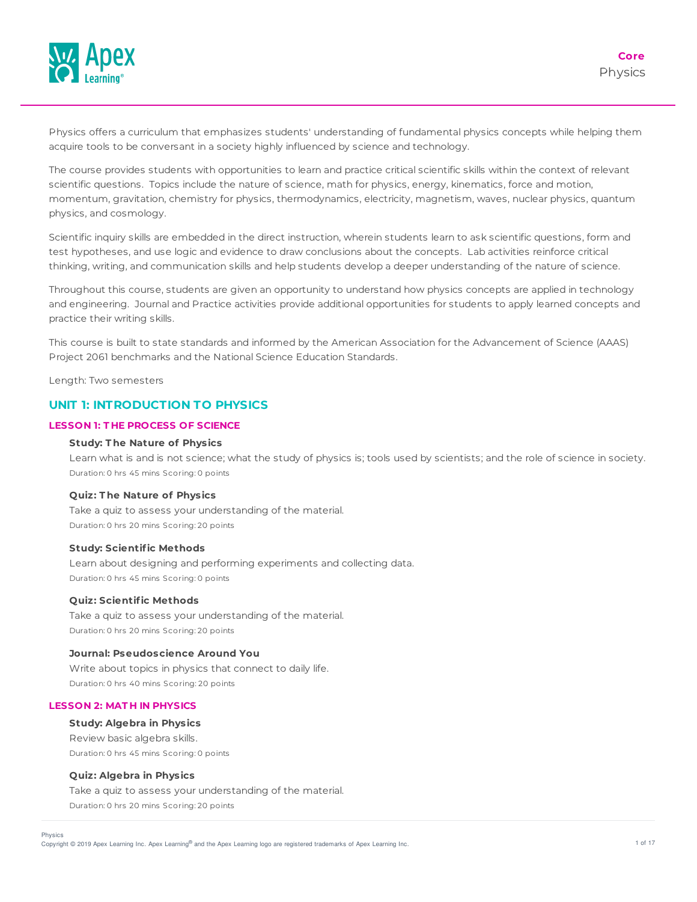

Physics offers a curriculum that emphasizes students' understanding of fundamental physics concepts while helping them acquire tools to be conversant in a society highly influenced by science and technology.

The course provides students with opportunities to learn and practice critical scientific skills within the context of relevant scientific questions. Topics include the nature of science, math for physics, energy, kinematics, force and motion, momentum, gravitation, chemistry for physics, thermodynamics, electricity, magnetism, waves, nuclear physics, quantum physics, and cosmology.

Scientific inquiry skills are embedded in the direct instruction, wherein students learn to ask scientific questions, form and test hypotheses, and use logic and evidence to draw conclusions about the concepts. Lab activities reinforce critical thinking, writing, and communication skills and help students develop a deeper understanding of the nature of science.

Throughout this course, students are given an opportunity to understand how physics concepts are applied in technology and engineering. Journal and Practice activities provide additional opportunities for students to apply learned concepts and practice their writing skills.

This course is built to state standards and informed by the American Association for the Advancement of Science (AAAS) Project 2061 benchmarks and the National Science Education Standards.

Length: Two semesters

# **UNIT 1: INTRODUCTION TO PHYSICS**

# **LESSON 1: T HE PROCESS OF SCIENCE**

### **Study: T he Nature of Physics**

Learn what is and is not science; what the study of physics is; tools used by scientists; and the role of science in society. Duration: 0 hrs 45 mins Scoring: 0 points

### **Quiz: T he Nature of Physics**

Take a quiz to assess your understanding of the material. Duration: 0 hrs 20 mins Scoring: 20 points

#### **Study: Scientific Methods**

Learn about designing and performing experiments and collecting data. Duration: 0 hrs 45 mins Scoring: 0 points

#### **Quiz: Scientific Methods**

Take a quiz to assess your understanding of the material. Duration: 0 hrs 20 mins Scoring: 20 points

#### **Journal: Pseudoscience Around You**

Write about topics in physics that connect to daily life. Duration: 0 hrs 40 mins Scoring: 20 points

### **LESSON 2: MAT H IN PHYSICS**

#### **Study: Algebra in Physics**

Review basic algebra skills. Duration: 0 hrs 45 mins Scoring: 0 points

# **Quiz: Algebra in Physics**

Take a quiz to assess your understanding of the material. Duration: 0 hrs 20 mins Scoring: 20 points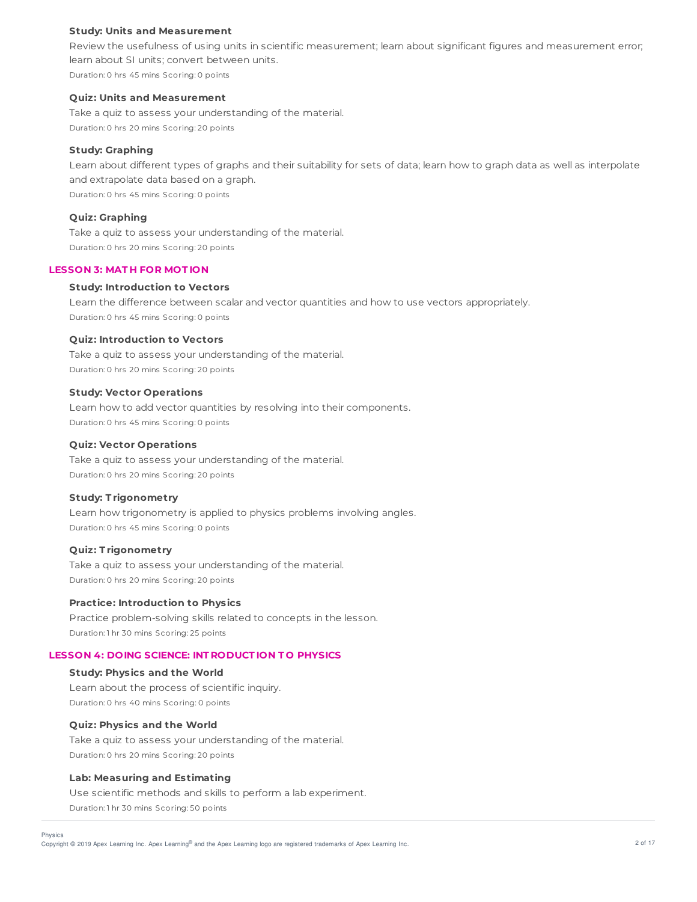#### **Study: Units and Measurement**

Review the usefulness of using units in scientific measurement; learn about significant figures and measurement error; learn about SI units; convert between units. Duration: 0 hrs 45 mins Scoring: 0 points

#### **Quiz: Units and Measurement**

Take a quiz to assess your understanding of the material. Duration: 0 hrs 20 mins Scoring: 20 points

# **Study: Graphing**

Learn about different types of graphs and their suitability for sets of data; learn how to graph data as well as interpolate and extrapolate data based on a graph. Duration: 0 hrs 45 mins Scoring: 0 points

# **Quiz: Graphing**

Take a quiz to assess your understanding of the material. Duration: 0 hrs 20 mins Scoring: 20 points

#### **LESSON 3: MAT H FOR MOT ION**

#### **Study: Introduction to Vectors**

Learn the difference between scalar and vector quantities and how to use vectors appropriately. Duration: 0 hrs 45 mins Scoring: 0 points

### **Quiz: Introduction to Vectors**

Take a quiz to assess your understanding of the material. Duration: 0 hrs 20 mins Scoring: 20 points

#### **Study: Vector Operations**

Learn how to add vector quantities by resolving into their components. Duration: 0 hrs 45 mins Scoring: 0 points

# **Quiz: Vector Operations**

Take a quiz to assess your understanding of the material. Duration: 0 hrs 20 mins Scoring: 20 points

#### **Study: T rigonometry**

Learn how trigonometry is applied to physics problems involving angles. Duration: 0 hrs 45 mins Scoring: 0 points

# **Quiz: T rigonometry**

Take a quiz to assess your understanding of the material. Duration: 0 hrs 20 mins Scoring: 20 points

#### **Practice: Introduction to Physics**

Practice problem-solving skills related to concepts in the lesson. Duration: 1 hr 30 mins Scoring: 25 points

#### **LESSON 4: DOING SCIENCE: INT RODUCT ION T O PHYSICS**

#### **Study: Physics and the World**

Learn about the process of scientific inquiry. Duration: 0 hrs 40 mins Scoring: 0 points

### **Quiz: Physics and the World**

Take a quiz to assess your understanding of the material. Duration: 0 hrs 20 mins Scoring: 20 points

#### **Lab: Measuring and Estimating**

Use scientific methods and skills to perform a lab experiment. Duration: 1 hr 30 mins Scoring: 50 points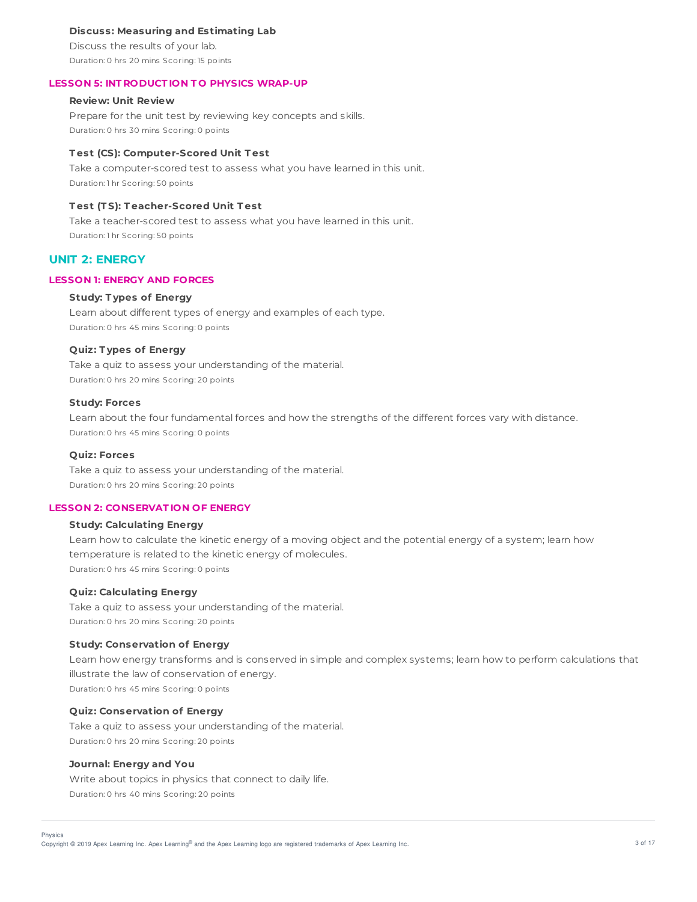#### **Discuss: Measuring and Estimating Lab**

Discuss the results of your lab. Duration: 0 hrs 20 mins Scoring: 15 points

#### **LESSON 5: INT RODUCT ION T O PHYSICS WRAP-UP**

# **Review: Unit Review**

Prepare for the unit test by reviewing key concepts and skills. Duration: 0 hrs 30 mins Scoring: 0 points

#### **T est (CS): Computer-Scored Unit T est**

Take a computer-scored test to assess what you have learned in this unit. Duration: 1 hr Scoring: 50 points

# **T est (T S): T eacher-Scored Unit T est**

Take a teacher-scored test to assess what you have learned in this unit. Duration: 1 hr Scoring: 50 points

# **UNIT 2: ENERGY**

#### **LESSON 1: ENERGY AND FORCES**

#### **Study: T ypes of Energy**

Learn about different types of energy and examples of each type. Duration: 0 hrs 45 mins Scoring: 0 points

#### **Quiz: T ypes of Energy**

Take a quiz to assess your understanding of the material. Duration: 0 hrs 20 mins Scoring: 20 points

#### **Study: Forces**

Learn about the four fundamental forces and how the strengths of the different forces vary with distance. Duration: 0 hrs 45 mins Scoring: 0 points

### **Quiz: Forces**

Take a quiz to assess your understanding of the material. Duration: 0 hrs 20 mins Scoring: 20 points

### **LESSON 2: CONSERVAT ION OF ENERGY**

# **Study: Calculating Energy**

Learn how to calculate the kinetic energy of a moving object and the potential energy of a system; learn how temperature is related to the kinetic energy of molecules. Duration: 0 hrs 45 mins Scoring: 0 points

#### **Quiz: Calculating Energy**

Take a quiz to assess your understanding of the material. Duration: 0 hrs 20 mins Scoring: 20 points

#### **Study: Conservation of Energy**

Learn how energy transforms and is conserved in simple and complex systems; learn how to perform calculations that illustrate the law of conservation of energy. Duration: 0 hrs 45 mins Scoring: 0 points

# **Quiz: Conservation of Energy**

Take a quiz to assess your understanding of the material. Duration: 0 hrs 20 mins Scoring: 20 points

### **Journal: Energy and You**

Physics

Write about topics in physics that connect to daily life. Duration: 0 hrs 40 mins Scoring: 20 points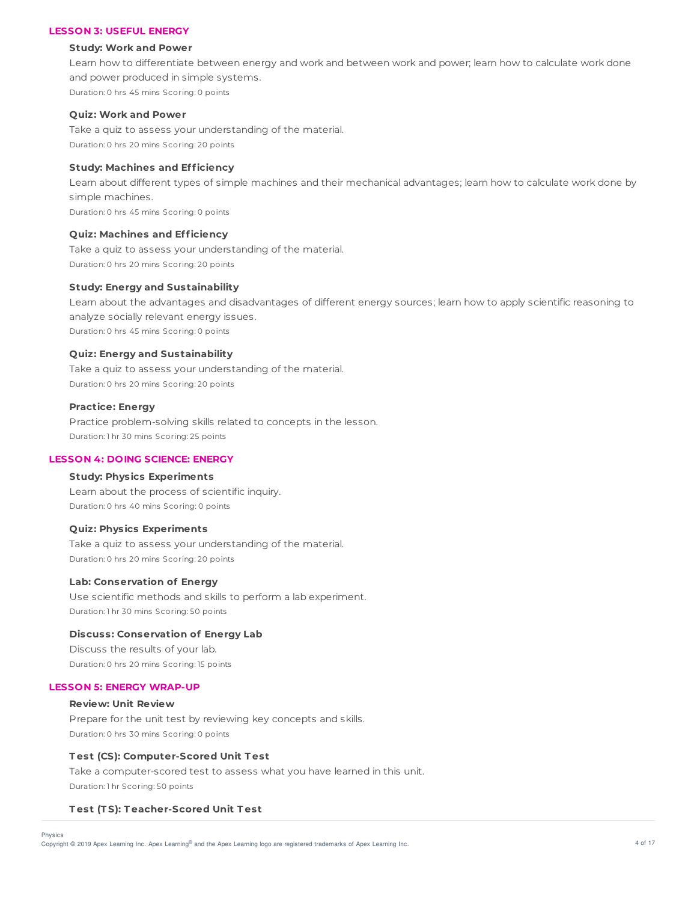## **LESSON 3: USEFUL ENERGY**

#### **Study: Work and Power**

Learn how to differentiate between energy and work and between work and power; learn how to calculate work done and power produced in simple systems. Duration: 0 hrs 45 mins Scoring: 0 points

#### **Quiz: Work and Power**

Take a quiz to assess your understanding of the material. Duration: 0 hrs 20 mins Scoring: 20 points

# **Study: Machines and Efficiency**

Learn about different types of simple machines and their mechanical advantages; learn how to calculate work done by simple machines. Duration: 0 hrs 45 mins Scoring: 0 points

#### **Quiz: Machines and Efficiency**

Take a quiz to assess your understanding of the material. Duration: 0 hrs 20 mins Scoring: 20 points

### **Study: Energy and Sustainability**

Learn about the advantages and disadvantages of different energy sources; learn how to apply scientific reasoning to analyze socially relevant energy issues. Duration: 0 hrs 45 mins Scoring: 0 points

#### **Quiz: Energy and Sustainability**

Take a quiz to assess your understanding of the material. Duration: 0 hrs 20 mins Scoring: 20 points

#### **Practice: Energy**

Practice problem-solving skills related to concepts in the lesson. Duration: 1 hr 30 mins Scoring: 25 points

#### **LESSON 4: DOING SCIENCE: ENERGY**

#### **Study: Physics Experiments**

Learn about the process of scientific inquiry. Duration: 0 hrs 40 mins Scoring: 0 points

#### **Quiz: Physics Experiments**

Take a quiz to assess your understanding of the material. Duration: 0 hrs 20 mins Scoring: 20 points

# **Lab: Conservation of Energy**

Use scientific methods and skills to perform a lab experiment. Duration: 1 hr 30 mins Scoring: 50 points

# **Discuss: Conservation of Energy Lab**

Discuss the results of your lab. Duration: 0 hrs 20 mins Scoring: 15 points

#### **LESSON 5: ENERGY WRAP-UP**

# **Review: Unit Review** Prepare for the unit test by reviewing key concepts and skills. Duration: 0 hrs 30 mins Scoring: 0 points

#### **T est (CS): Computer-Scored Unit T est**

Take a computer-scored test to assess what you have learned in this unit. Duration: 1 hr Scoring: 50 points

### **T est (T S): T eacher-Scored Unit T est**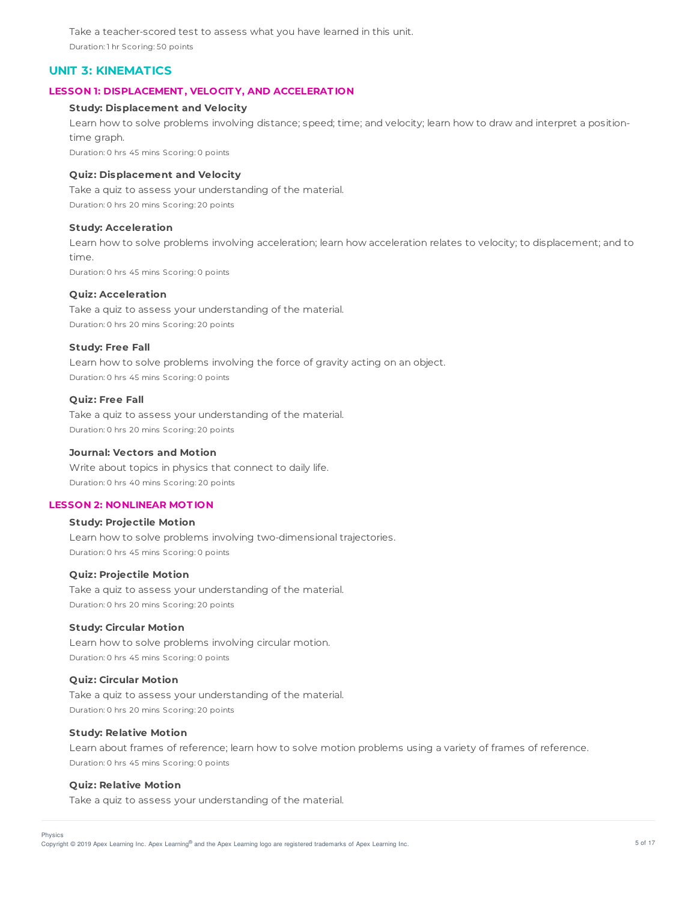Take a teacher-scored test to assess what you have learned in this unit. Duration: 1 hr Scoring: 50 points

# **UNIT 3: KINEMATICS**

### **LESSON 1: DISPLACEMENT , VELOCIT Y, AND ACCELERAT ION**

# **Study: Displacement and Velocity**

Learn how to solve problems involving distance; speed; time; and velocity; learn how to draw and interpret a positiontime graph.

Duration: 0 hrs 45 mins Scoring: 0 points

### **Quiz: Displacement and Velocity**

Take a quiz to assess your understanding of the material. Duration: 0 hrs 20 mins Scoring: 20 points

#### **Study: Acceleration**

Learn how to solve problems involving acceleration; learn how acceleration relates to velocity; to displacement; and to time.

Duration: 0 hrs 45 mins Scoring: 0 points

# **Quiz: Acceleration**

Take a quiz to assess your understanding of the material. Duration: 0 hrs 20 mins Scoring: 20 points

#### **Study: Free Fall**

Learn how to solve problems involving the force of gravity acting on an object. Duration: 0 hrs 45 mins Scoring: 0 points

# **Quiz: Free Fall**

Take a quiz to assess your understanding of the material. Duration: 0 hrs 20 mins Scoring: 20 points

#### **Journal: Vectors and Motion**

Write about topics in physics that connect to daily life. Duration: 0 hrs 40 mins Scoring: 20 points

#### **LESSON 2: NONLINEAR MOT ION**

### **Study: Projectile Motion**

Learn how to solve problems involving two-dimensional trajectories. Duration: 0 hrs 45 mins Scoring: 0 points

# **Quiz: Projectile Motion**

Take a quiz to assess your understanding of the material. Duration: 0 hrs 20 mins Scoring: 20 points

#### **Study: Circular Motion**

Learn how to solve problems involving circular motion. Duration: 0 hrs 45 mins Scoring: 0 points

# **Quiz: Circular Motion**

Take a quiz to assess your understanding of the material. Duration: 0 hrs 20 mins Scoring: 20 points

#### **Study: Relative Motion**

Learn about frames of reference; learn how to solve motion problems using a variety of frames of reference. Duration: 0 hrs 45 mins Scoring: 0 points

#### **Quiz: Relative Motion**

Take a quiz to assess your understanding of the material.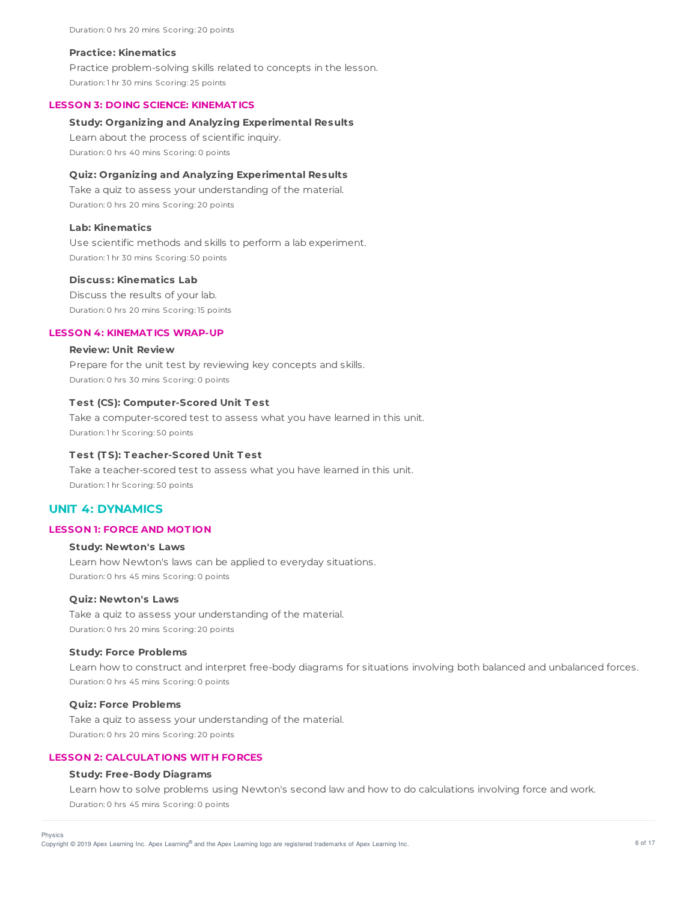Duration: 0 hrs 20 mins Scoring: 20 points

#### **Practice: Kinematics**

Practice problem-solving skills related to concepts in the lesson. Duration: 1 hr 30 mins Scoring: 25 points

#### **LESSON 3: DOING SCIENCE: KINEMAT ICS**

#### **Study: Organizing and Analyzing Experimental Results**

Learn about the process of scientific inquiry. Duration: 0 hrs 40 mins Scoring: 0 points

### **Quiz: Organizing and Analyzing Experimental Results**

Take a quiz to assess your understanding of the material. Duration: 0 hrs 20 mins Scoring: 20 points

#### **Lab: Kinematics**

Use scientific methods and skills to perform a lab experiment. Duration: 1 hr 30 mins Scoring: 50 points

#### **Discuss: Kinematics Lab**

Discuss the results of your lab. Duration: 0 hrs 20 mins Scoring: 15 points

### **LESSON 4: KINEMAT ICS WRAP-UP**

# **Review: Unit Review**

Prepare for the unit test by reviewing key concepts and skills. Duration: 0 hrs 30 mins Scoring: 0 points

#### **T est (CS): Computer-Scored Unit T est**

Take a computer-scored test to assess what you have learned in this unit. Duration: 1 hr Scoring: 50 points

### **T est (T S): T eacher-Scored Unit T est**

Take a teacher-scored test to assess what you have learned in this unit. Duration: 1 hr Scoring: 50 points

# **UNIT 4: DYNAMICS**

## **LESSON 1: FORCE AND MOT ION**

#### **Study: Newton's Laws**

Learn how Newton's laws can be applied to everyday situations. Duration: 0 hrs 45 mins Scoring: 0 points

## **Quiz: Newton's Laws**

Take a quiz to assess your understanding of the material. Duration: 0 hrs 20 mins Scoring: 20 points

#### **Study: Force Problems**

Learn how to construct and interpret free-body diagrams for situations involving both balanced and unbalanced forces. Duration: 0 hrs 45 mins Scoring: 0 points

# **Quiz: Force Problems**

Physics

Take a quiz to assess your understanding of the material. Duration: 0 hrs 20 mins Scoring: 20 points

# **LESSON 2: CALCULAT IONS WIT H FORCES**

#### **Study: Free-Body Diagrams**

Learn how to solve problems using Newton's second law and how to do calculations involving force and work. Duration: 0 hrs 45 mins Scoring: 0 points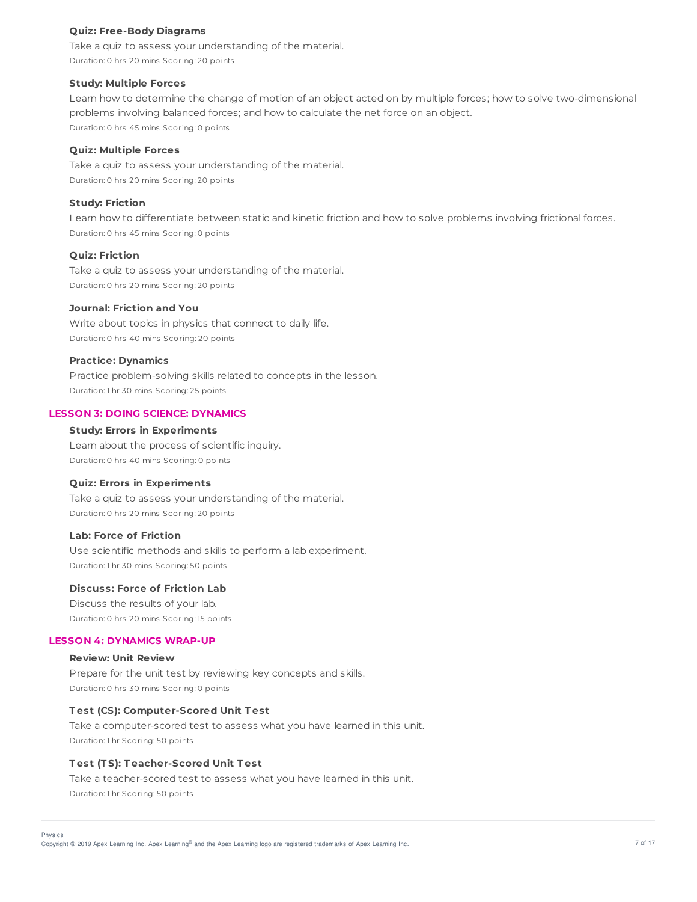#### **Quiz: Free-Body Diagrams**

Take a quiz to assess your understanding of the material. Duration: 0 hrs 20 mins Scoring: 20 points

#### **Study: Multiple Forces**

Learn how to determine the change of motion of an object acted on by multiple forces; how to solve two-dimensional problems involving balanced forces; and how to calculate the net force on an object. Duration: 0 hrs 45 mins Scoring: 0 points

# **Quiz: Multiple Forces**

Take a quiz to assess your understanding of the material. Duration: 0 hrs 20 mins Scoring: 20 points

### **Study: Friction**

Learn how to differentiate between static and kinetic friction and how to solve problems involving frictional forces. Duration: 0 hrs 45 mins Scoring: 0 points

### **Quiz: Friction**

Take a quiz to assess your understanding of the material. Duration: 0 hrs 20 mins Scoring: 20 points

#### **Journal: Friction and You**

Write about topics in physics that connect to daily life. Duration: 0 hrs 40 mins Scoring: 20 points

#### **Practice: Dynamics**

Practice problem-solving skills related to concepts in the lesson. Duration: 1 hr 30 mins Scoring: 25 points

# **LESSON 3: DOING SCIENCE: DYNAMICS**

## **Study: Errors in Experiments**

Learn about the process of scientific inquiry. Duration: 0 hrs 40 mins Scoring: 0 points

### **Quiz: Errors in Experiments**

Take a quiz to assess your understanding of the material. Duration: 0 hrs 20 mins Scoring: 20 points

# **Lab: Force of Friction**

Use scientific methods and skills to perform a lab experiment. Duration: 1 hr 30 mins Scoring: 50 points

# **Discuss: Force of Friction Lab**

Discuss the results of your lab. Duration: 0 hrs 20 mins Scoring: 15 points

#### **LESSON 4: DYNAMICS WRAP-UP**

# **Review: Unit Review**

Prepare for the unit test by reviewing key concepts and skills. Duration: 0 hrs 30 mins Scoring: 0 points

#### **T est (CS): Computer-Scored Unit T est**

Take a computer-scored test to assess what you have learned in this unit. Duration: 1 hr Scoring: 50 points

### **T est (T S): T eacher-Scored Unit T est**

Take a teacher-scored test to assess what you have learned in this unit. Duration: 1 hr Scoring: 50 points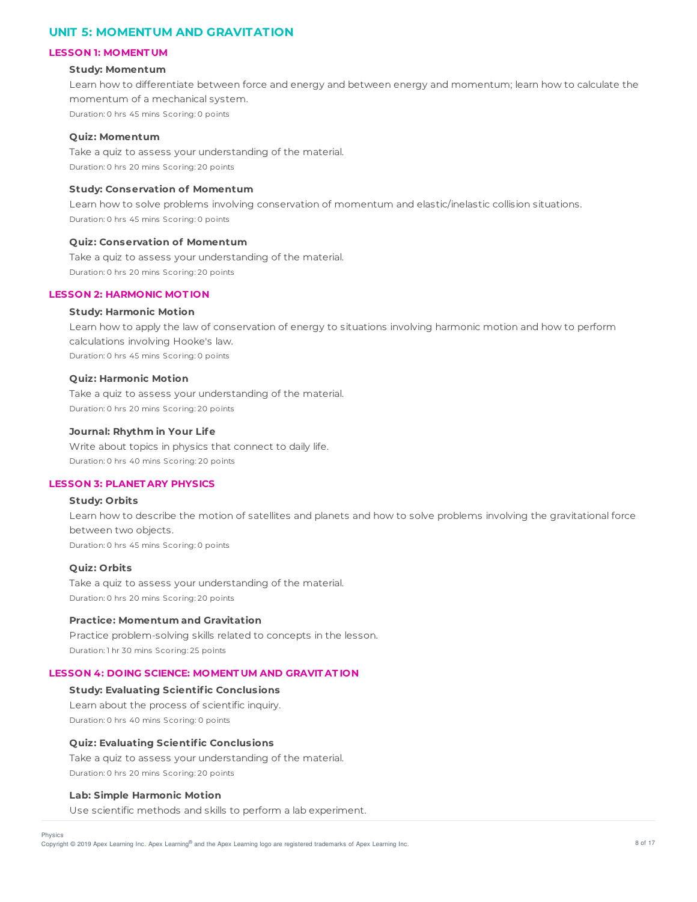# **UNIT 5: MOMENTUM AND GRAVITATION**

#### **LESSON 1: MOMENT UM**

#### **Study: Momentum**

Learn how to differentiate between force and energy and between energy and momentum; learn how to calculate the momentum of a mechanical system. Duration: 0 hrs 45 mins Scoring: 0 points

### **Quiz: Momentum**

Take a quiz to assess your understanding of the material. Duration: 0 hrs 20 mins Scoring: 20 points

# **Study: Conservation of Momentum**

Learn how to solve problems involving conservation of momentum and elastic/inelastic collision situations. Duration: 0 hrs 45 mins Scoring: 0 points

## **Quiz: Conservation of Momentum**

Take a quiz to assess your understanding of the material. Duration: 0 hrs 20 mins Scoring: 20 points

### **LESSON 2: HARMONIC MOT ION**

#### **Study: Harmonic Motion**

Learn how to apply the law of conservation of energy to situations involving harmonic motion and how to perform calculations involving Hooke's law. Duration: 0 hrs 45 mins Scoring: 0 points

#### **Quiz: Harmonic Motion**

Take a quiz to assess your understanding of the material. Duration: 0 hrs 20 mins Scoring: 20 points

### **Journal: Rhythm in Your Life**

Write about topics in physics that connect to daily life. Duration: 0 hrs 40 mins Scoring: 20 points

#### **LESSON 3: PLANET ARY PHYSICS**

## **Study: Orbits**

Learn how to describe the motion of satellites and planets and how to solve problems involving the gravitational force between two objects. Duration: 0 hrs 45 mins Scoring: 0 points

#### **Quiz: Orbits**

Take a quiz to assess your understanding of the material. Duration: 0 hrs 20 mins Scoring: 20 points

### **Practice: Momentum and Gravitation**

Practice problem-solving skills related to concepts in the lesson. Duration: 1 hr 30 mins Scoring: 25 points

#### **LESSON 4: DOING SCIENCE: MOMENT UM AND GRAVIT AT ION**

# **Study: Evaluating Scientific Conclusions**

Learn about the process of scientific inquiry. Duration: 0 hrs 40 mins Scoring: 0 points

#### **Quiz: Evaluating Scientific Conclusions**

Take a quiz to assess your understanding of the material. Duration: 0 hrs 20 mins Scoring: 20 points

#### **Lab: Simple Harmonic Motion**

Use scientific methods and skills to perform a lab experiment.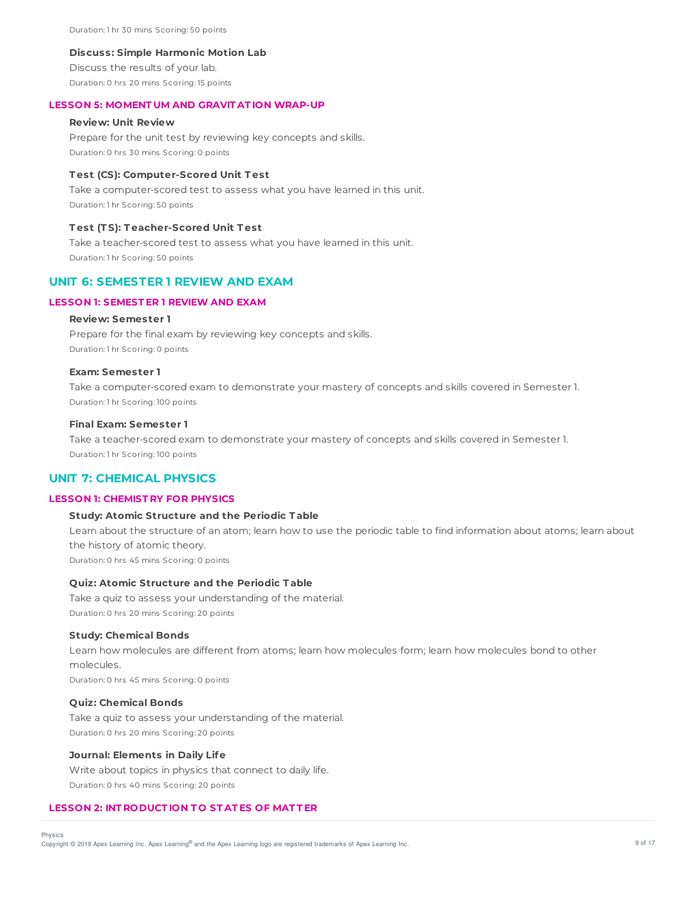Duration: 1 hr 30 mins Scoring: 50 points

#### **Discuss: Simple Harmonic Motion Lab**

Discuss the results of your lab. Duration: 0 hrs 20 mins Scoring: 15 points

### **LESSON 5: MOMENT UM AND GRAVIT AT ION WRAP-UP**

### **Review: Unit Review**

Prepare for the unit test by reviewing key concepts and skills. Duration: 0 hrs 30 mins Scoring: 0 points

#### **T est (CS): Computer-Scored Unit T est**

Take a computer-scored test to assess what you have learned in this unit. Duration: 1 hr Scoring: 50 points

#### **T est (T S): T eacher-Scored Unit T est**

Take a teacher-scored test to assess what you have learned in this unit. Duration: 1 hr Scoring: 50 points

# **UNIT 6: SEMESTER 1 REVIEW AND EXAM**

# **LESSON 1: SEMEST ER 1 REVIEW AND EXAM**

### **Review: Semester 1**

Prepare for the final exam by reviewing key concepts and skills. Duration: 1 hr Scoring: 0 points

### **Exam: Semester 1**

Take a computer-scored exam to demonstrate your mastery of concepts and skills covered in Semester 1. Duration: 1 hr Scoring: 100 points

#### **Final Exam: Semester 1**

Take a teacher-scored exam to demonstrate your mastery of concepts and skills covered in Semester 1. Duration: 1 hr Scoring: 100 points

# **UNIT 7: CHEMICAL PHYSICS**

#### **LESSON 1: CHEMIST RY FOR PHYSICS**

# **Study: Atomic Structure and the Periodic T able**

Learn about the structure of an atom; learn how to use the periodic table to find information about atoms; learn about the history of atomic theory. Duration: 0 hrs 45 mins Scoring: 0 points

# **Quiz: Atomic Structure and the Periodic T able**

Take a quiz to assess your understanding of the material. Duration: 0 hrs 20 mins Scoring: 20 points

#### **Study: Chemical Bonds**

Learn how molecules are different from atoms; learn how molecules form; learn how molecules bond to other molecules.

Duration: 0 hrs 45 mins Scoring: 0 points

### **Quiz: Chemical Bonds**

Take a quiz to assess your understanding of the material. Duration: 0 hrs 20 mins Scoring: 20 points

# **Journal: Elements in Daily Life**

Write about topics in physics that connect to daily life.

Duration: 0 hrs 40 mins Scoring: 20 points

#### **LESSON 2: INT RODUCT ION T O ST AT ES OF MAT T ER**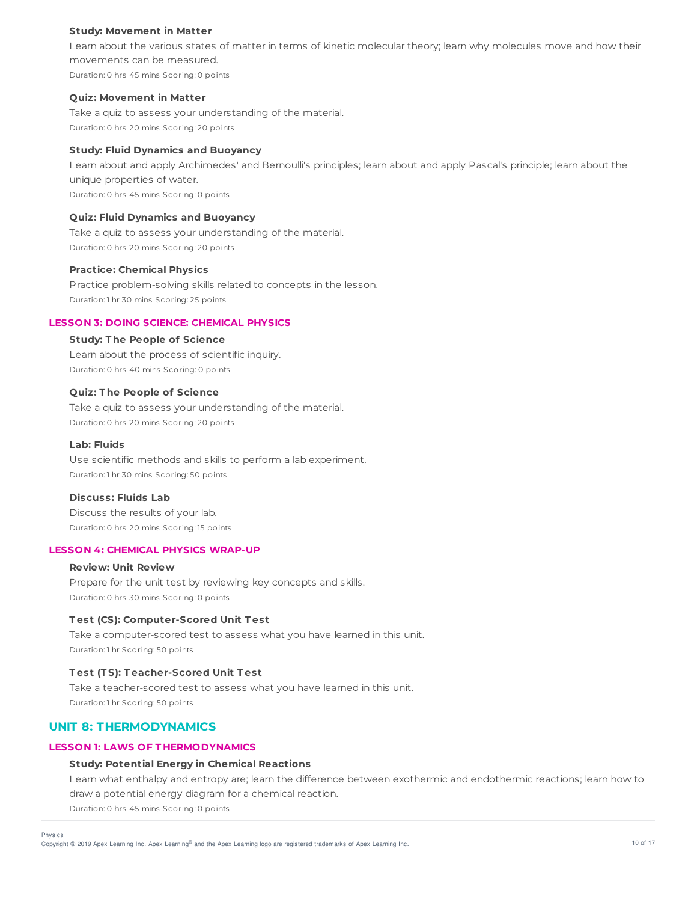### **Study: Movement in Matter**

Learn about the various states of matter in terms of kinetic molecular theory; learn why molecules move and how their movements can be measured. Duration: 0 hrs 45 mins Scoring: 0 points

#### **Quiz: Movement in Matter**

Take a quiz to assess your understanding of the material. Duration: 0 hrs 20 mins Scoring: 20 points

# **Study: Fluid Dynamics and Buoyancy**

Learn about and apply Archimedes' and Bernoulli's principles; learn about and apply Pascal's principle; learn about the unique properties of water. Duration: 0 hrs 45 mins Scoring: 0 points

## **Quiz: Fluid Dynamics and Buoyancy**

Take a quiz to assess your understanding of the material. Duration: 0 hrs 20 mins Scoring: 20 points

#### **Practice: Chemical Physics**

Practice problem-solving skills related to concepts in the lesson. Duration: 1 hr 30 mins Scoring: 25 points

### **LESSON 3: DOING SCIENCE: CHEMICAL PHYSICS**

#### **Study: T he People of Science**

Learn about the process of scientific inquiry. Duration: 0 hrs 40 mins Scoring: 0 points

#### **Quiz: T he People of Science**

Take a quiz to assess your understanding of the material. Duration: 0 hrs 20 mins Scoring: 20 points

### **Lab: Fluids**

Use scientific methods and skills to perform a lab experiment. Duration: 1 hr 30 mins Scoring: 50 points

#### **Discuss: Fluids Lab**

Discuss the results of your lab. Duration: 0 hrs 20 mins Scoring: 15 points

### **LESSON 4: CHEMICAL PHYSICS WRAP-UP**

### **Review: Unit Review**

Prepare for the unit test by reviewing key concepts and skills. Duration: 0 hrs 30 mins Scoring: 0 points

# **T est (CS): Computer-Scored Unit T est**

Take a computer-scored test to assess what you have learned in this unit. Duration: 1 hr Scoring: 50 points

## **T est (T S): T eacher-Scored Unit T est**

Take a teacher-scored test to assess what you have learned in this unit. Duration: 1 hr Scoring: 50 points

# **UNIT 8: THERMODYNAMICS**

# **LESSON 1: LAWS OF T HERMODYNAMICS**

# **Study: Potential Energy in Chemical Reactions**

Learn what enthalpy and entropy are; learn the difference between exothermic and endothermic reactions; learn how to draw a potential energy diagram for a chemical reaction.

Duration: 0 hrs 45 mins Scoring: 0 points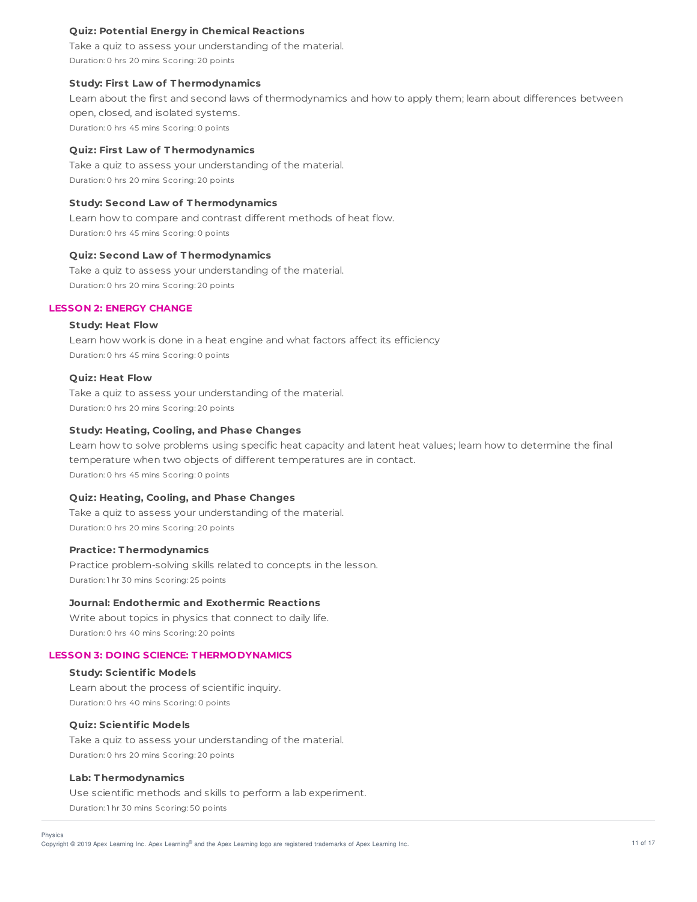### **Quiz: Potential Energy in Chemical Reactions**

Take a quiz to assess your understanding of the material. Duration: 0 hrs 20 mins Scoring: 20 points

### **Study: First Law of T hermodynamics**

Learn about the first and second laws of thermodynamics and how to apply them; learn about differences between open, closed, and isolated systems. Duration: 0 hrs 45 mins Scoring: 0 points

#### **Quiz: First Law of T hermodynamics**

Take a quiz to assess your understanding of the material. Duration: 0 hrs 20 mins Scoring: 20 points

### **Study: Second Law of T hermodynamics**

Learn how to compare and contrast different methods of heat flow. Duration: 0 hrs 45 mins Scoring: 0 points

### **Quiz: Second Law of T hermodynamics**

Take a quiz to assess your understanding of the material. Duration: 0 hrs 20 mins Scoring: 20 points

# **LESSON 2: ENERGY CHANGE**

# **Study: Heat Flow**

Learn how work is done in a heat engine and what factors affect its efficiency Duration: 0 hrs 45 mins Scoring: 0 points

#### **Quiz: Heat Flow**

Take a quiz to assess your understanding of the material. Duration: 0 hrs 20 mins Scoring: 20 points

## **Study: Heating, Cooling, and Phase Changes**

Learn how to solve problems using specific heat capacity and latent heat values; learn how to determine the final temperature when two objects of different temperatures are in contact. Duration: 0 hrs 45 mins Scoring: 0 points

#### **Quiz: Heating, Cooling, and Phase Changes**

Take a quiz to assess your understanding of the material. Duration: 0 hrs 20 mins Scoring: 20 points

### **Practice: T hermodynamics**

Practice problem-solving skills related to concepts in the lesson. Duration: 1 hr 30 mins Scoring: 25 points

# **Journal: Endothermic and Exothermic Reactions**

Write about topics in physics that connect to daily life. Duration: 0 hrs 40 mins Scoring: 20 points

### **LESSON 3: DOING SCIENCE: T HERMODYNAMICS**

#### **Study: Scientific Models**

Learn about the process of scientific inquiry. Duration: 0 hrs 40 mins Scoring: 0 points

### **Quiz: Scientific Models**

Take a quiz to assess your understanding of the material. Duration: 0 hrs 20 mins Scoring: 20 points

#### **Lab: T hermodynamics**

Use scientific methods and skills to perform a lab experiment. Duration: 1 hr 30 mins Scoring: 50 points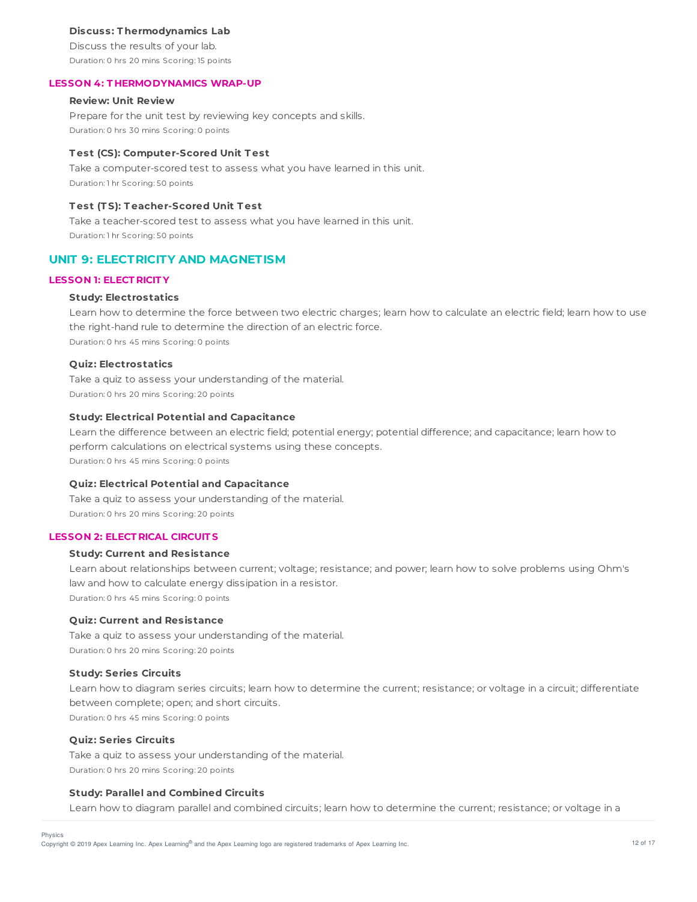#### **Discuss: T hermodynamics Lab**

Discuss the results of your lab. Duration: 0 hrs 20 mins Scoring: 15 points

#### **LESSON 4: T HERMODYNAMICS WRAP-UP**

# **Review: Unit Review**

Prepare for the unit test by reviewing key concepts and skills. Duration: 0 hrs 30 mins Scoring: 0 points

#### **T est (CS): Computer-Scored Unit T est**

Take a computer-scored test to assess what you have learned in this unit. Duration: 1 hr Scoring: 50 points

# **T est (T S): T eacher-Scored Unit T est**

Take a teacher-scored test to assess what you have learned in this unit. Duration: 1 hr Scoring: 50 points

# **UNIT 9: ELECTRICITY AND MAGNETISM**

#### **LESSON 1: ELECT RICIT Y**

#### **Study: Electrostatics**

Learn how to determine the force between two electric charges; learn how to calculate an electric field; learn how to use the right-hand rule to determine the direction of an electric force. Duration: 0 hrs 45 mins Scoring: 0 points

#### **Quiz: Electrostatics**

Take a quiz to assess your understanding of the material. Duration: 0 hrs 20 mins Scoring: 20 points

#### **Study: Electrical Potential and Capacitance**

Learn the difference between an electric field; potential energy; potential difference; and capacitance; learn how to perform calculations on electrical systems using these concepts. Duration: 0 hrs 45 mins Scoring: 0 points

#### **Quiz: Electrical Potential and Capacitance**

Take a quiz to assess your understanding of the material. Duration: 0 hrs 20 mins Scoring: 20 points

### **LESSON 2: ELECT RICAL CIRCUIT S**

### **Study: Current and Resistance**

Learn about relationships between current; voltage; resistance; and power; learn how to solve problems using Ohm's law and how to calculate energy dissipation in a resistor. Duration: 0 hrs 45 mins Scoring: 0 points

### **Quiz: Current and Resistance**

Take a quiz to assess your understanding of the material. Duration: 0 hrs 20 mins Scoring: 20 points

#### **Study: Series Circuits**

Learn how to diagram series circuits; learn how to determine the current; resistance; or voltage in a circuit; differentiate between complete; open; and short circuits. Duration: 0 hrs 45 mins Scoring: 0 points

# **Quiz: Series Circuits**

Physics

Take a quiz to assess your understanding of the material. Duration: 0 hrs 20 mins Scoring: 20 points

#### **Study: Parallel and Combined Circuits**

Learn how to diagram parallel and combined circuits; learn how to determine the current; resistance; or voltage in a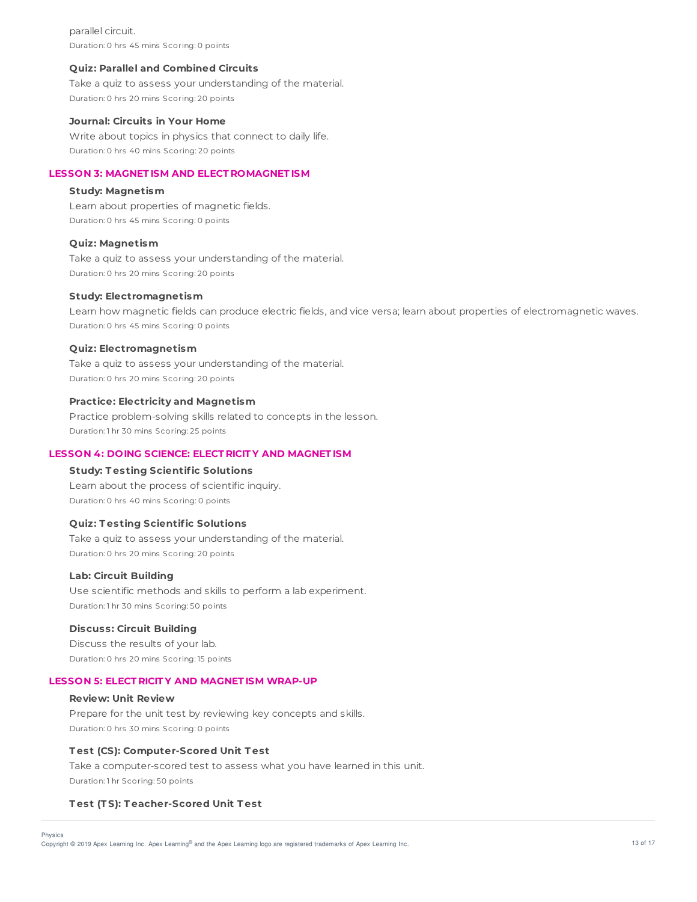parallel circuit. Duration: 0 hrs 45 mins Scoring: 0 points

#### **Quiz: Parallel and Combined Circuits**

Take a quiz to assess your understanding of the material. Duration: 0 hrs 20 mins Scoring: 20 points

### **Journal: Circuits in Your Home**

Write about topics in physics that connect to daily life. Duration: 0 hrs 40 mins Scoring: 20 points

### **LESSON 3: MAGNET ISM AND ELECT ROMAGNET ISM**

# **Study: Magnetism**

Learn about properties of magnetic fields. Duration: 0 hrs 45 mins Scoring: 0 points

#### **Quiz: Magnetism**

Take a quiz to assess your understanding of the material. Duration: 0 hrs 20 mins Scoring: 20 points

#### **Study: Electromagnetism**

Learn how magnetic fields can produce electric fields, and vice versa; learn about properties of electromagnetic waves. Duration: 0 hrs 45 mins Scoring: 0 points

#### **Quiz: Electromagnetism**

Take a quiz to assess your understanding of the material. Duration: 0 hrs 20 mins Scoring: 20 points

### **Practice: Electricity and Magnetism**

Practice problem-solving skills related to concepts in the lesson. Duration: 1 hr 30 mins Scoring: 25 points

# **LESSON 4: DOING SCIENCE: ELECT RICIT Y AND MAGNET ISM**

#### **Study: T esting Scientific Solutions**

Learn about the process of scientific inquiry. Duration: 0 hrs 40 mins Scoring: 0 points

# **Quiz: T esting Scientific Solutions**

Take a quiz to assess your understanding of the material. Duration: 0 hrs 20 mins Scoring: 20 points

### **Lab: Circuit Building**

Use scientific methods and skills to perform a lab experiment. Duration: 1 hr 30 mins Scoring: 50 points

#### **Discuss: Circuit Building**

Discuss the results of your lab. Duration: 0 hrs 20 mins Scoring: 15 points

#### **LESSON 5: ELECT RICIT Y AND MAGNET ISM WRAP-UP**

#### **Review: Unit Review**

Prepare for the unit test by reviewing key concepts and skills. Duration: 0 hrs 30 mins Scoring: 0 points

### **T est (CS): Computer-Scored Unit T est**

Take a computer-scored test to assess what you have learned in this unit. Duration: 1 hr Scoring: 50 points

#### **T est (T S): T eacher-Scored Unit T est**

Copyright © 2019 Apex Learning Inc. Apex Learning® and the Apex Learning logo are registered trademarks of Apex Learning Inc. <br>Copyright © 2019 Apex Learning Inc. Apex Learning® and the Apex Learning Iogo are registered tr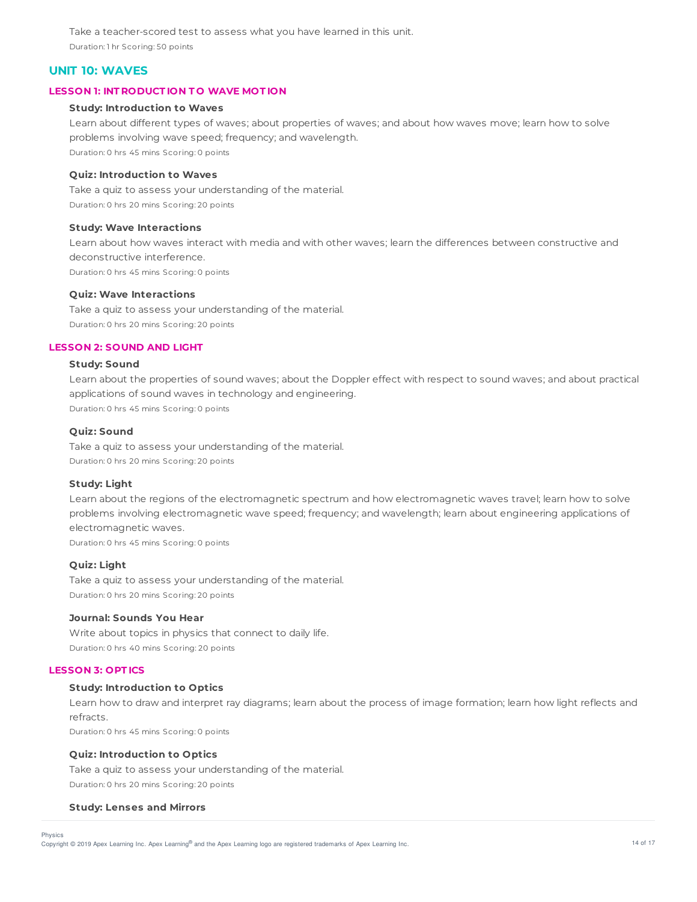Take a teacher-scored test to assess what you have learned in this unit. Duration: 1 hr Scoring: 50 points

# **UNIT 10: WAVES**

# **LESSON 1: INT RODUCT ION T O WAVE MOT ION**

#### **Study: Introduction to Waves**

Learn about different types of waves; about properties of waves; and about how waves move; learn how to solve problems involving wave speed; frequency; and wavelength. Duration: 0 hrs 45 mins Scoring: 0 points

## **Quiz: Introduction to Waves**

Take a quiz to assess your understanding of the material. Duration: 0 hrs 20 mins Scoring: 20 points

#### **Study: Wave Interactions**

Learn about how waves interact with media and with other waves; learn the differences between constructive and deconstructive interference. Duration: 0 hrs 45 mins Scoring: 0 points

### **Quiz: Wave Interactions**

Take a quiz to assess your understanding of the material. Duration: 0 hrs 20 mins Scoring: 20 points

# **LESSON 2: SOUND AND LIGHT**

### **Study: Sound**

Learn about the properties of sound waves; about the Doppler effect with respect to sound waves; and about practical applications of sound waves in technology and engineering.

Duration: 0 hrs 45 mins Scoring: 0 points

# **Quiz: Sound**

Take a quiz to assess your understanding of the material. Duration: 0 hrs 20 mins Scoring: 20 points

#### **Study: Light**

Learn about the regions of the electromagnetic spectrum and how electromagnetic waves travel; learn how to solve problems involving electromagnetic wave speed; frequency; and wavelength; learn about engineering applications of electromagnetic waves.

Duration: 0 hrs 45 mins Scoring: 0 points

# **Quiz: Light**

Take a quiz to assess your understanding of the material. Duration: 0 hrs 20 mins Scoring: 20 points

# **Journal: Sounds You Hear**

Write about topics in physics that connect to daily life. Duration: 0 hrs 40 mins Scoring: 20 points

#### **LESSON 3: OPT ICS**

#### **Study: Introduction to Optics**

Learn how to draw and interpret ray diagrams; learn about the process of image formation; learn how light reflects and refracts.

Duration: 0 hrs 45 mins Scoring: 0 points

#### **Quiz: Introduction to Optics**

Take a quiz to assess your understanding of the material.

Duration: 0 hrs 20 mins Scoring: 20 points

#### **Study: Lenses and Mirrors**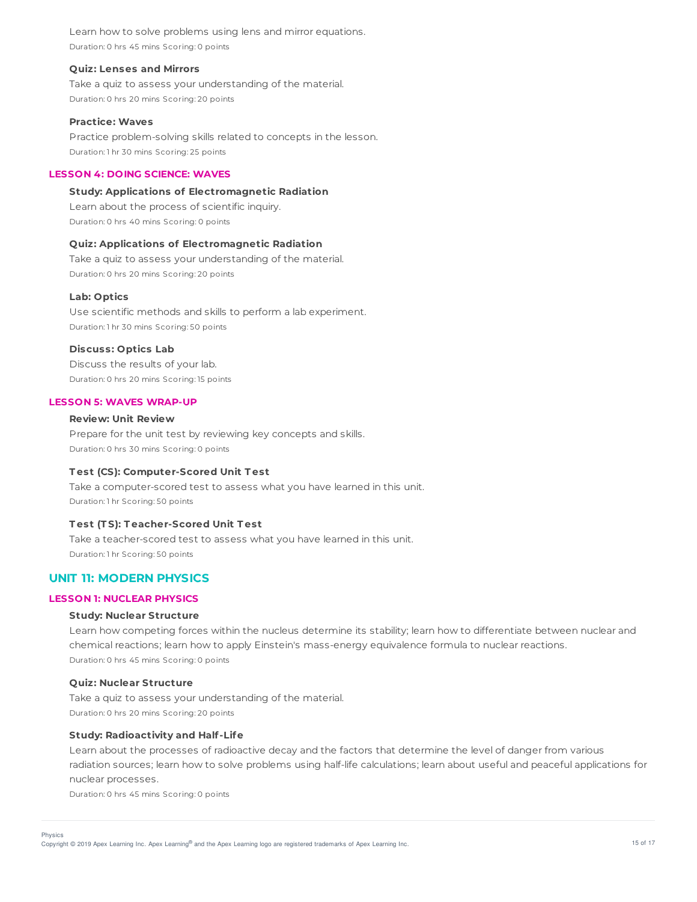Learn how to solve problems using lens and mirror equations. Duration: 0 hrs 45 mins Scoring: 0 points

#### **Quiz: Lenses and Mirrors**

Take a quiz to assess your understanding of the material. Duration: 0 hrs 20 mins Scoring: 20 points

#### **Practice: Waves**

Practice problem-solving skills related to concepts in the lesson. Duration: 1 hr 30 mins Scoring: 25 points

### **LESSON 4: DOING SCIENCE: WAVES**

## **Study: Applications of Electromagnetic Radiation**

Learn about the process of scientific inquiry. Duration: 0 hrs 40 mins Scoring: 0 points

# **Quiz: Applications of Electromagnetic Radiation**

Take a quiz to assess your understanding of the material. Duration: 0 hrs 20 mins Scoring: 20 points

#### **Lab: Optics**

Use scientific methods and skills to perform a lab experiment. Duration: 1 hr 30 mins Scoring: 50 points

### **Discuss: Optics Lab**

Discuss the results of your lab. Duration: 0 hrs 20 mins Scoring: 15 points

#### **LESSON 5: WAVES WRAP-UP**

# **Review: Unit Review**

Prepare for the unit test by reviewing key concepts and skills. Duration: 0 hrs 30 mins Scoring: 0 points

#### **T est (CS): Computer-Scored Unit T est**

Take a computer-scored test to assess what you have learned in this unit. Duration: 1 hr Scoring: 50 points

# **T est (T S): T eacher-Scored Unit T est**

Take a teacher-scored test to assess what you have learned in this unit. Duration: 1 hr Scoring: 50 points

# **UNIT 11: MODERN PHYSICS**

#### **LESSON 1: NUCLEAR PHYSICS**

#### **Study: Nuclear Structure**

Learn how competing forces within the nucleus determine its stability; learn how to differentiate between nuclear and chemical reactions; learn how to apply Einstein's mass-energy equivalence formula to nuclear reactions. Duration: 0 hrs 45 mins Scoring: 0 points

#### **Quiz: Nuclear Structure**

Take a quiz to assess your understanding of the material. Duration: 0 hrs 20 mins Scoring: 20 points

#### **Study: Radioactivity and Half-Life**

Learn about the processes of radioactive decay and the factors that determine the level of danger from various radiation sources; learn how to solve problems using half-life calculations; learn about useful and peaceful applications for nuclear processes.

Duration: 0 hrs 45 mins Scoring: 0 points

Physics

Copyright © 2019 Apex Learning Inc. Apex Learning® and the Apex Learning logo are registered trademarks of Apex Learning Inc. 49. Apex Learning Inc. 49. Apex Learning Inc. 49. Appx 15 of 17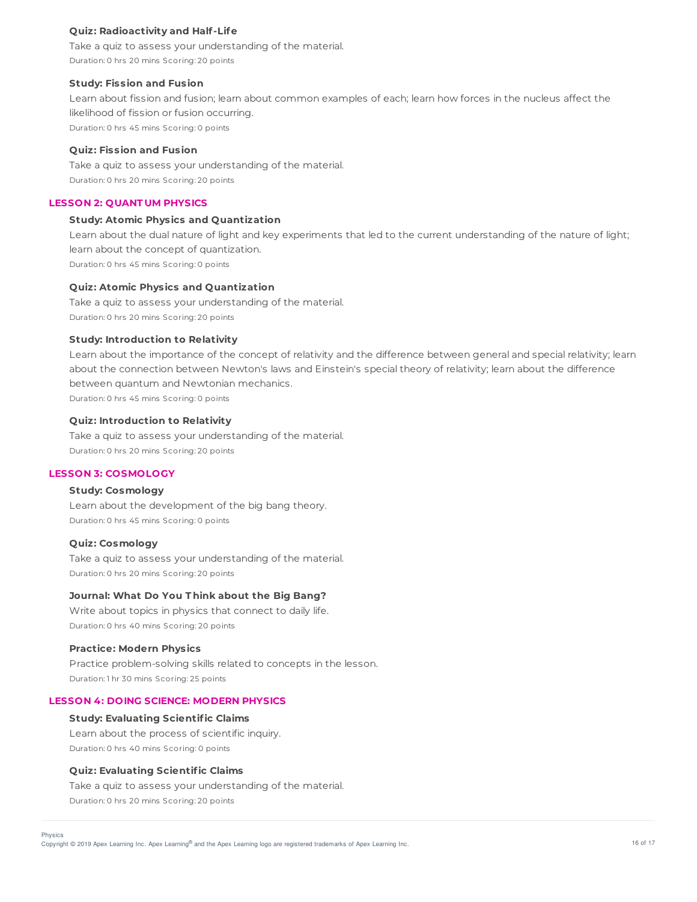### **Quiz: Radioactivity and Half-Life**

Take a quiz to assess your understanding of the material. Duration: 0 hrs 20 mins Scoring: 20 points

#### **Study: Fission and Fusion**

Learn about fission and fusion; learn about common examples of each; learn how forces in the nucleus affect the likelihood of fission or fusion occurring. Duration: 0 hrs 45 mins Scoring: 0 points

### **Quiz: Fission and Fusion**

Take a quiz to assess your understanding of the material. Duration: 0 hrs 20 mins Scoring: 20 points

#### **LESSON 2: QUANT UM PHYSICS**

### **Study: Atomic Physics and Quantization**

Learn about the dual nature of light and key experiments that led to the current understanding of the nature of light; learn about the concept of quantization. Duration: 0 hrs 45 mins Scoring: 0 points

### **Quiz: Atomic Physics and Quantization**

Take a quiz to assess your understanding of the material. Duration: 0 hrs 20 mins Scoring: 20 points

#### **Study: Introduction to Relativity**

Learn about the importance of the concept of relativity and the difference between general and special relativity; learn about the connection between Newton's laws and Einstein's special theory of relativity; learn about the difference between quantum and Newtonian mechanics. Duration: 0 hrs 45 mins Scoring: 0 points

# **Quiz: Introduction to Relativity**

Take a quiz to assess your understanding of the material. Duration: 0 hrs 20 mins Scoring: 20 points

## **LESSON 3: COSMOLOGY**

# **Study: Cosmology**

Learn about the development of the big bang theory. Duration: 0 hrs 45 mins Scoring: 0 points

#### **Quiz: Cosmology**

Take a quiz to assess your understanding of the material. Duration: 0 hrs 20 mins Scoring: 20 points

#### **Journal: What Do You T hink about the Big Bang?**

Write about topics in physics that connect to daily life. Duration: 0 hrs 40 mins Scoring: 20 points

#### **Practice: Modern Physics**

Practice problem-solving skills related to concepts in the lesson. Duration: 1 hr 30 mins Scoring: 25 points

## **LESSON 4: DOING SCIENCE: MODERN PHYSICS**

#### **Study: Evaluating Scientific Claims**

Learn about the process of scientific inquiry. Duration: 0 hrs 40 mins Scoring: 0 points

## **Quiz: Evaluating Scientific Claims**

Take a quiz to assess your understanding of the material.

Duration: 0 hrs 20 mins Scoring: 20 points